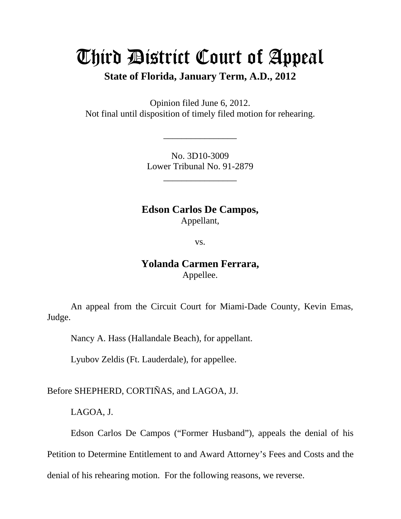# Third District Court of Appeal **State of Florida, January Term, A.D., 2012**

Opinion filed June 6, 2012. Not final until disposition of timely filed motion for rehearing.

> No. 3D10-3009 Lower Tribunal No. 91-2879

> > \_\_\_\_\_\_\_\_\_\_\_\_\_\_\_\_

\_\_\_\_\_\_\_\_\_\_\_\_\_\_\_\_

**Edson Carlos De Campos,**  Appellant,

vs.

## **Yolanda Carmen Ferrara,**  Appellee.

 An appeal from the Circuit Court for Miami-Dade County, Kevin Emas, Judge.

Nancy A. Hass (Hallandale Beach), for appellant.

Lyubov Zeldis (Ft. Lauderdale), for appellee.

Before SHEPHERD, CORTIÑAS, and LAGOA, JJ.

LAGOA, J.

 Edson Carlos De Campos ("Former Husband"), appeals the denial of his Petition to Determine Entitlement to and Award Attorney's Fees and Costs and the denial of his rehearing motion. For the following reasons, we reverse.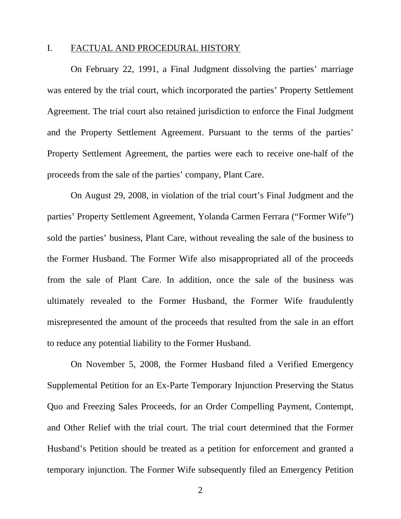### I. FACTUAL AND PROCEDURAL HISTORY

On February 22, 1991, a Final Judgment dissolving the parties' marriage was entered by the trial court, which incorporated the parties' Property Settlement Agreement. The trial court also retained jurisdiction to enforce the Final Judgment and the Property Settlement Agreement. Pursuant to the terms of the parties' Property Settlement Agreement, the parties were each to receive one-half of the proceeds from the sale of the parties' company, Plant Care.

On August 29, 2008, in violation of the trial court's Final Judgment and the parties' Property Settlement Agreement, Yolanda Carmen Ferrara ("Former Wife") sold the parties' business, Plant Care, without revealing the sale of the business to the Former Husband. The Former Wife also misappropriated all of the proceeds from the sale of Plant Care. In addition, once the sale of the business was ultimately revealed to the Former Husband, the Former Wife fraudulently misrepresented the amount of the proceeds that resulted from the sale in an effort to reduce any potential liability to the Former Husband.

On November 5, 2008, the Former Husband filed a Verified Emergency Supplemental Petition for an Ex-Parte Temporary Injunction Preserving the Status Quo and Freezing Sales Proceeds, for an Order Compelling Payment, Contempt, and Other Relief with the trial court. The trial court determined that the Former Husband's Petition should be treated as a petition for enforcement and granted a temporary injunction. The Former Wife subsequently filed an Emergency Petition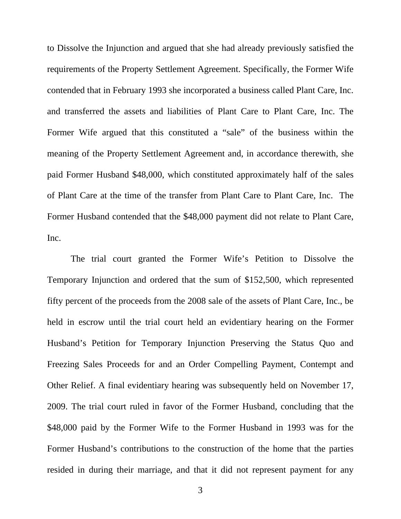to Dissolve the Injunction and argued that she had already previously satisfied the requirements of the Property Settlement Agreement. Specifically, the Former Wife contended that in February 1993 she incorporated a business called Plant Care, Inc. and transferred the assets and liabilities of Plant Care to Plant Care, Inc. The Former Wife argued that this constituted a "sale" of the business within the meaning of the Property Settlement Agreement and, in accordance therewith, she paid Former Husband \$48,000, which constituted approximately half of the sales of Plant Care at the time of the transfer from Plant Care to Plant Care, Inc. The Former Husband contended that the \$48,000 payment did not relate to Plant Care, Inc.

The trial court granted the Former Wife's Petition to Dissolve the Temporary Injunction and ordered that the sum of \$152,500, which represented fifty percent of the proceeds from the 2008 sale of the assets of Plant Care, Inc., be held in escrow until the trial court held an evidentiary hearing on the Former Husband's Petition for Temporary Injunction Preserving the Status Quo and Freezing Sales Proceeds for and an Order Compelling Payment, Contempt and Other Relief. A final evidentiary hearing was subsequently held on November 17, 2009. The trial court ruled in favor of the Former Husband, concluding that the \$48,000 paid by the Former Wife to the Former Husband in 1993 was for the Former Husband's contributions to the construction of the home that the parties resided in during their marriage, and that it did not represent payment for any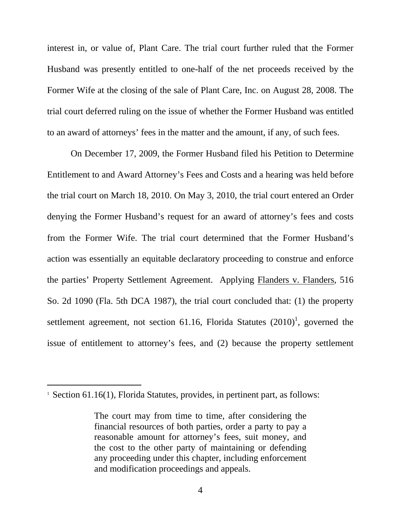interest in, or value of, Plant Care. The trial court further ruled that the Former Husband was presently entitled to one-half of the net proceeds received by the Former Wife at the closing of the sale of Plant Care, Inc. on August 28, 2008. The trial court deferred ruling on the issue of whether the Former Husband was entitled to an award of attorneys' fees in the matter and the amount, if any, of such fees.

On December 17, 2009, the Former Husband filed his Petition to Determine Entitlement to and Award Attorney's Fees and Costs and a hearing was held before the trial court on March 18, 2010. On May 3, 2010, the trial court entered an Order denying the Former Husband's request for an award of attorney's fees and costs from the Former Wife. The trial court determined that the Former Husband's action was essentially an equitable declaratory proceeding to construe and enforce the parties' Property Settlement Agreement. Applying Flanders v. Flanders, 516 So. 2d 1090 (Fla. 5th DCA 1987), the trial court concluded that: (1) the property settlement agreement, not section 61.16, Florida Statutes  $(2010)^1$ , governed the issue of entitlement to attorney's fees, and (2) because the property settlement

 $\overline{a}$ 

<sup>&</sup>lt;sup>1</sup> Section 61.16(1), Florida Statutes, provides, in pertinent part, as follows:

The court may from time to time, after considering the financial resources of both parties, order a party to pay a reasonable amount for attorney's fees, suit money, and the cost to the other party of maintaining or defending any proceeding under this chapter, including enforcement and modification proceedings and appeals.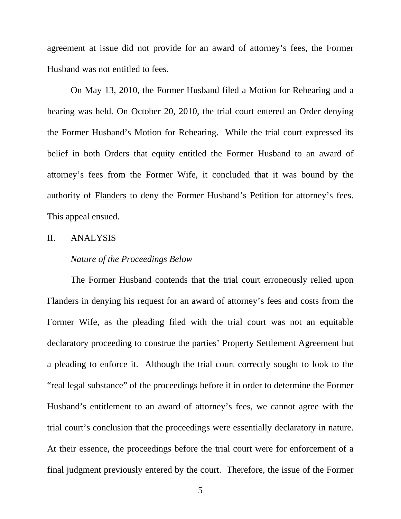agreement at issue did not provide for an award of attorney's fees, the Former Husband was not entitled to fees.

On May 13, 2010, the Former Husband filed a Motion for Rehearing and a hearing was held. On October 20, 2010, the trial court entered an Order denying the Former Husband's Motion for Rehearing. While the trial court expressed its belief in both Orders that equity entitled the Former Husband to an award of attorney's fees from the Former Wife, it concluded that it was bound by the authority of Flanders to deny the Former Husband's Petition for attorney's fees. This appeal ensued.

#### II. ANALYSIS

#### *Nature of the Proceedings Below*

The Former Husband contends that the trial court erroneously relied upon Flanders in denying his request for an award of attorney's fees and costs from the Former Wife, as the pleading filed with the trial court was not an equitable declaratory proceeding to construe the parties' Property Settlement Agreement but a pleading to enforce it. Although the trial court correctly sought to look to the "real legal substance" of the proceedings before it in order to determine the Former Husband's entitlement to an award of attorney's fees, we cannot agree with the trial court's conclusion that the proceedings were essentially declaratory in nature. At their essence, the proceedings before the trial court were for enforcement of a final judgment previously entered by the court. Therefore, the issue of the Former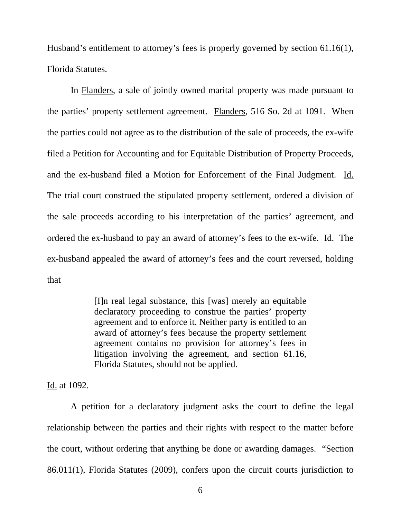Husband's entitlement to attorney's fees is properly governed by section 61.16(1), Florida Statutes.

 In Flanders, a sale of jointly owned marital property was made pursuant to the parties' property settlement agreement. Flanders, 516 So. 2d at 1091. When the parties could not agree as to the distribution of the sale of proceeds, the ex-wife filed a Petition for Accounting and for Equitable Distribution of Property Proceeds, and the ex-husband filed a Motion for Enforcement of the Final Judgment. Id. The trial court construed the stipulated property settlement, ordered a division of the sale proceeds according to his interpretation of the parties' agreement, and ordered the ex-husband to pay an award of attorney's fees to the ex-wife. Id. The ex-husband appealed the award of attorney's fees and the court reversed, holding that

> [I]n real legal substance, this [was] merely an equitable declaratory proceeding to construe the parties' property agreement and to enforce it. Neither party is entitled to an award of attorney's fees because the property settlement agreement contains no provision for attorney's fees in litigation involving the agreement, and section 61.16, Florida Statutes, should not be applied.

Id. at 1092.

A petition for a declaratory judgment asks the court to define the legal relationship between the parties and their rights with respect to the matter before the court, without ordering that anything be done or awarding damages. "Section 86.011(1), Florida Statutes (2009), confers upon the circuit courts jurisdiction to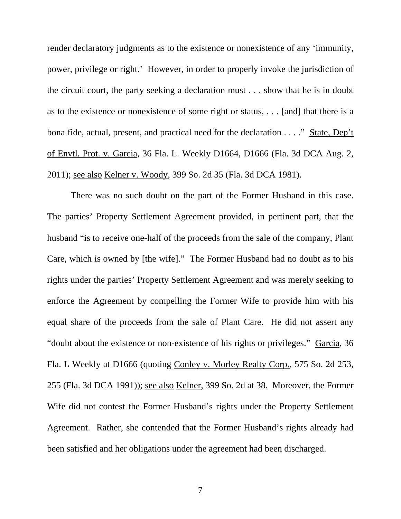render declaratory judgments as to the existence or nonexistence of any 'immunity, power, privilege or right.' However, in order to properly invoke the jurisdiction of the circuit court, the party seeking a declaration must . . . show that he is in doubt as to the existence or nonexistence of some right or status, . . . [and] that there is a bona fide, actual, present, and practical need for the declaration . . . ." State, Dep't of Envtl. Prot. v. Garcia, 36 Fla. L. Weekly D1664, D1666 (Fla. 3d DCA Aug. 2, 2011); see also Kelner v. Woody, 399 So. 2d 35 (Fla. 3d DCA 1981).

There was no such doubt on the part of the Former Husband in this case. The parties' Property Settlement Agreement provided, in pertinent part, that the husband "is to receive one-half of the proceeds from the sale of the company, Plant Care, which is owned by [the wife]." The Former Husband had no doubt as to his rights under the parties' Property Settlement Agreement and was merely seeking to enforce the Agreement by compelling the Former Wife to provide him with his equal share of the proceeds from the sale of Plant Care. He did not assert any "doubt about the existence or non-existence of his rights or privileges." Garcia, 36 Fla. L Weekly at D1666 (quoting Conley v. Morley Realty Corp., 575 So. 2d 253, 255 (Fla. 3d DCA 1991)); see also Kelner, 399 So. 2d at 38. Moreover, the Former Wife did not contest the Former Husband's rights under the Property Settlement Agreement. Rather, she contended that the Former Husband's rights already had been satisfied and her obligations under the agreement had been discharged.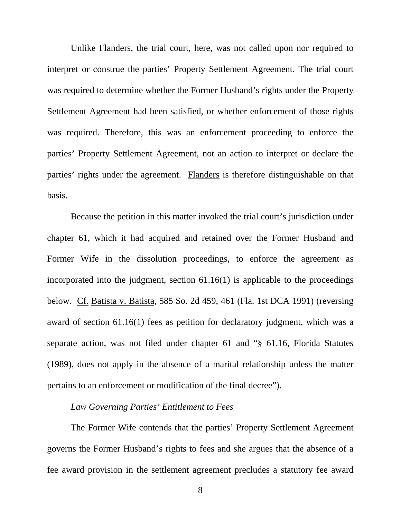Unlike Flanders, the trial court, here, was not called upon nor required to interpret or construe the parties' Property Settlement Agreement. The trial court was required to determine whether the Former Husband's rights under the Property Settlement Agreement had been satisfied, or whether enforcement of those rights was required. Therefore, this was an enforcement proceeding to enforce the parties' Property Settlement Agreement, not an action to interpret or declare the parties' rights under the agreement. Flanders is therefore distinguishable on that basis.

Because the petition in this matter invoked the trial court's jurisdiction under chapter 61, which it had acquired and retained over the Former Husband and Former Wife in the dissolution proceedings, to enforce the agreement as incorporated into the judgment, section 61.16(1) is applicable to the proceedings below. Cf. Batista v. Batista, 585 So. 2d 459, 461 (Fla. 1st DCA 1991) (reversing award of section 61.16(1) fees as petition for declaratory judgment, which was a separate action, was not filed under chapter 61 and "§ 61.16, Florida Statutes (1989), does not apply in the absence of a marital relationship unless the matter pertains to an enforcement or modification of the final decree").

## *Law Governing Parties' Entitlement to Fees*

The Former Wife contends that the parties' Property Settlement Agreement governs the Former Husband's rights to fees and she argues that the absence of a fee award provision in the settlement agreement precludes a statutory fee award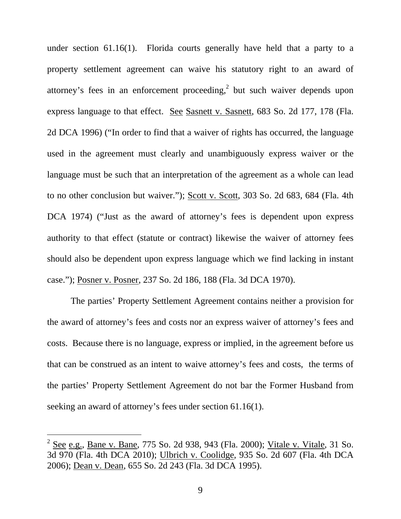under section 61.16(1). Florida courts generally have held that a party to a property settlement agreement can waive his statutory right to an award of attorney's fees in an enforcement proceeding,<sup>2</sup> but such waiver depends upon express language to that effect. See Sasnett v. Sasnett, 683 So. 2d 177, 178 (Fla. 2d DCA 1996) ("In order to find that a waiver of rights has occurred, the language used in the agreement must clearly and unambiguously express waiver or the language must be such that an interpretation of the agreement as a whole can lead to no other conclusion but waiver."); Scott v. Scott, 303 So. 2d 683, 684 (Fla. 4th DCA 1974) ("Just as the award of attorney's fees is dependent upon express authority to that effect (statute or contract) likewise the waiver of attorney fees should also be dependent upon express language which we find lacking in instant case."); Posner v. Posner, 237 So. 2d 186, 188 (Fla. 3d DCA 1970).

The parties' Property Settlement Agreement contains neither a provision for the award of attorney's fees and costs nor an express waiver of attorney's fees and costs. Because there is no language, express or implied, in the agreement before us that can be construed as an intent to waive attorney's fees and costs, the terms of the parties' Property Settlement Agreement do not bar the Former Husband from seeking an award of attorney's fees under section 61.16(1).

 $\overline{a}$ 

<sup>&</sup>lt;sup>2</sup> See e.g., Bane v. Bane, 775 So. 2d 938, 943 (Fla. 2000); <u>Vitale v. Vitale</u>, 31 So. 3d 970 (Fla. 4th DCA 2010); Ulbrich v. Coolidge, 935 So. 2d 607 (Fla. 4th DCA 2006); Dean v. Dean, 655 So. 2d 243 (Fla. 3d DCA 1995).